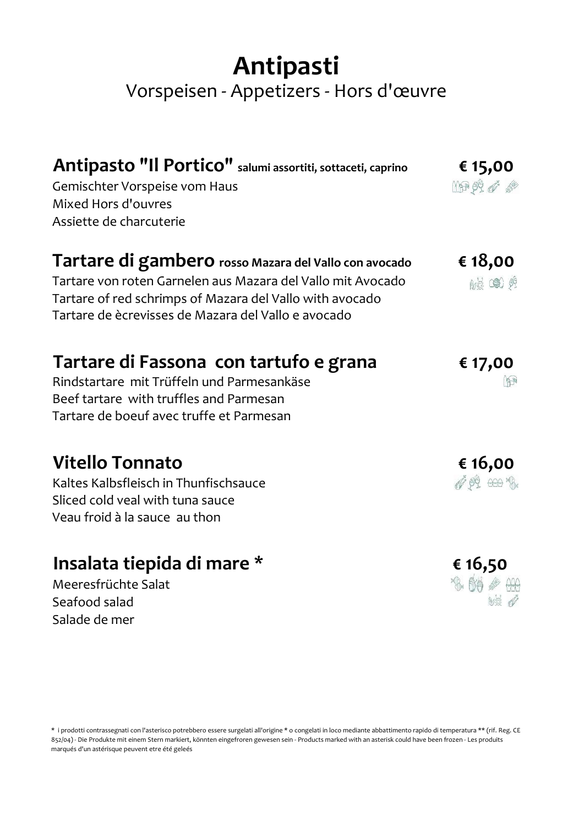## Antipasti

### Vorspeisen - Appetizers - Hors d'œuvre

| Antipasto "Il Portico" salumi assortiti, sottaceti, caprino<br>Gemischter Vorspeise vom Haus<br>Mixed Hors d'ouvres<br>Assiette de charcuterie                                                                                          | € 15,00<br>$\oplus$ $\bullet$             |
|-----------------------------------------------------------------------------------------------------------------------------------------------------------------------------------------------------------------------------------------|-------------------------------------------|
| Tartare di gambero rosso Mazara del Vallo con avocado<br>Tartare von roten Garnelen aus Mazara del Vallo mit Avocado<br>Tartare of red schrimps of Mazara del Vallo with avocado<br>Tartare de ècrevisses de Mazara del Vallo e avocado | € 18,00<br>藏鱼 党                           |
| Tartare di Fassona con tartufo e grana<br>Rindstartare mit Trüffeln und Parmesankäse<br>Beef tartare with truffles and Parmesan<br>Tartare de boeuf avec truffe et Parmesan                                                             | € 17,00                                   |
| <b>Vitello Tonnato</b><br>Kaltes Kalbsfleisch in Thunfischsauce<br>Sliced cold veal with tuna sauce<br>Veau froid à la sauce au thon                                                                                                    | € 16,00<br>$\mathscr{O}$ or $\mathscr{P}$ |
| Insalata tiepida di mare *                                                                                                                                                                                                              | € 16,50                                   |

Meeresfrüchte Salat Seafood salad Salade de mer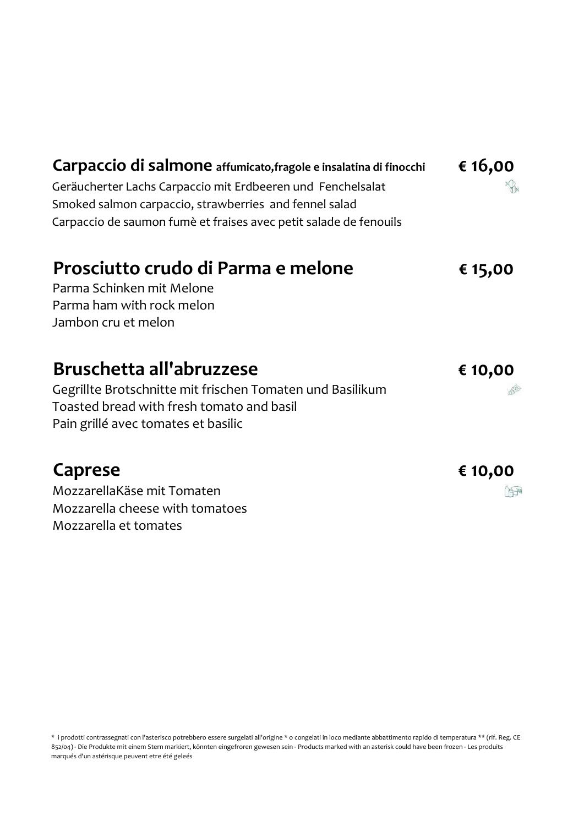| Carpaccio di salmone affumicato, fragole e insalatina di finocchi | € 16,00 |
|-------------------------------------------------------------------|---------|
| Geräucherter Lachs Carpaccio mit Erdbeeren und Fenchelsalat       |         |
| Smoked salmon carpaccio, strawberries and fennel salad            |         |
| Carpaccio de saumon fumè et fraises avec petit salade de fenouils |         |
| Prosciutto crudo di Parma e melone                                | € 15,00 |
| Parma Schinken mit Melone                                         |         |
| Parma ham with rock melon                                         |         |
| Jambon cru et melon                                               |         |
| Bruschetta all'abruzzese                                          | € 10,00 |
| Gegrillte Brotschnitte mit frischen Tomaten und Basilikum         |         |
| Toasted bread with fresh tomato and basil                         |         |
| Pain grillé avec tomates et basilic                               |         |
| Caprese                                                           | € 10,00 |
| MozzarellaKäse mit Tomaten                                        |         |
| Mozzarella cheese with tomatoes                                   |         |

Mozzarella et tomates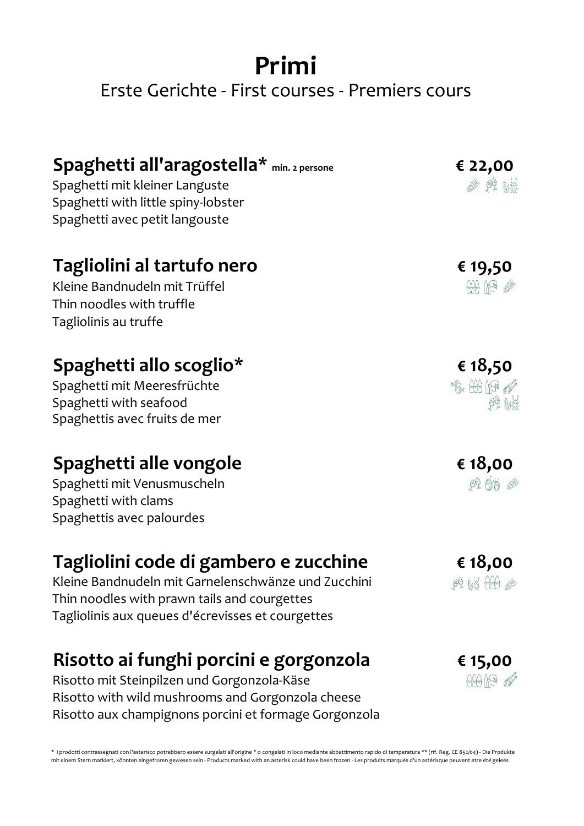## Primi Erste Gerichte - First courses - Premiers cours

| Spaghetti all'aragostella* min. 2 persone<br>Spaghetti mit kleiner Languste<br>Spaghetti with little spiny-lobster<br>Spaghetti avec petit langouste | € 22,00<br>。 兴 的                                                                                                                                                                                                                                                                                                                                               |
|------------------------------------------------------------------------------------------------------------------------------------------------------|----------------------------------------------------------------------------------------------------------------------------------------------------------------------------------------------------------------------------------------------------------------------------------------------------------------------------------------------------------------|
| Tagliolini al tartufo nero<br>Kleine Bandnudeln mit Trüffel<br>Thin noodles with truffle<br>Tagliolinis au truffe                                    | € 19,50<br>$\begin{picture}(20,20) \put(0,0){\line(1,0){10}} \put(15,0){\line(1,0){10}} \put(15,0){\line(1,0){10}} \put(15,0){\line(1,0){10}} \put(15,0){\line(1,0){10}} \put(15,0){\line(1,0){10}} \put(15,0){\line(1,0){10}} \put(15,0){\line(1,0){10}} \put(15,0){\line(1,0){10}} \put(15,0){\line(1,0){10}} \put(15,0){\line(1,0){10}} \put(15,0){\line(1$ |
| Spaghetti allo scoglio*<br>Spaghetti mit Meeresfrüchte<br>Spaghetti with seafood<br>Spaghettis avec fruits de mer                                    | € 18,50<br>$\mathbb{R} \oplus \mathbb{P}$<br>99.65                                                                                                                                                                                                                                                                                                             |
| Spaghetti alle vongole<br>Spaghetti mit Venusmuscheln<br>Spaghetti with clams<br>Spaghettis avec palourdes                                           | € 18,00<br>60 60                                                                                                                                                                                                                                                                                                                                               |
| Tagliolini code di gambero e zucchine<br>Kleine Bandnudeln mit Garnelenschwänze und Zucchini<br>Thin noodles with prawn tails and courgettes         | € 18,00<br>99 bis 000                                                                                                                                                                                                                                                                                                                                          |

Risotto ai funghi porcini e gorgonzola

Tagliolinis aux queues d'écrevisses et courgettes

Risotto mit Steinpilzen und Gorgonzola-Käse Risotto with wild mushrooms and Gorgonzola cheese Risotto aux champignons porcini et formage Gorgonzola € 15,00  $4419$   $d^2$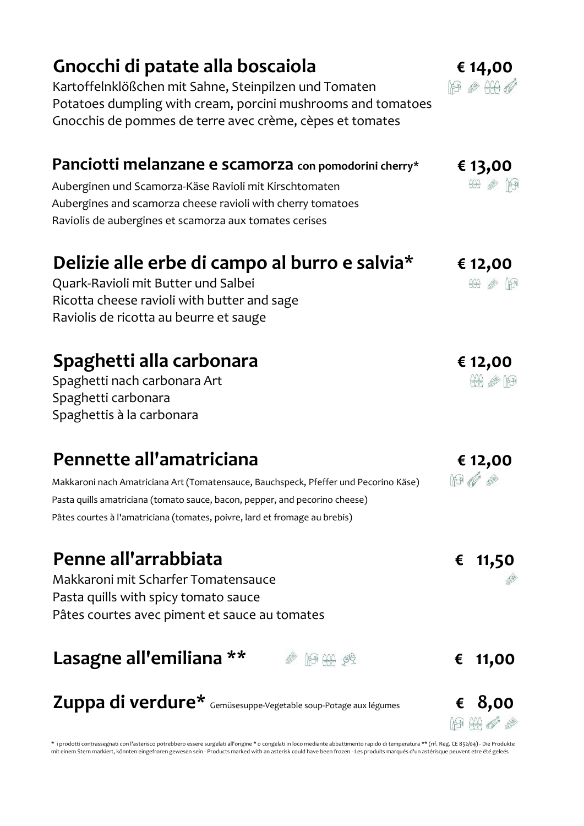| Gnocchi di patate alla boscaiola<br>Kartoffelnklößchen mit Sahne, Steinpilzen und Tomaten<br>Potatoes dumpling with cream, porcini mushrooms and tomatoes<br>Gnocchis de pommes de terre avec crème, cèpes et tomates                                                         | € 14,00<br>AA @ AA @                           |
|-------------------------------------------------------------------------------------------------------------------------------------------------------------------------------------------------------------------------------------------------------------------------------|------------------------------------------------|
| Panciotti melanzane e scamorza con pomodorini cherry*<br>Auberginen und Scamorza-Käse Ravioli mit Kirschtomaten<br>Aubergines and scamorza cheese ravioli with cherry tomatoes<br>Raviolis de aubergines et scamorza aux tomates cerises                                      | € 13,00<br>明 @ 出                               |
| Delizie alle erbe di campo al burro e salvia*<br>Quark-Ravioli mit Butter und Salbei<br>Ricotta cheese ravioli with butter and sage<br>Raviolis de ricotta au beurre et sauge                                                                                                 | € 12,00<br><b>A</b>                            |
| Spaghetti alla carbonara<br>Spaghetti nach carbonara Art<br>Spaghetti carbonara<br>Spaghettis à la carbonara                                                                                                                                                                  | € 12,00<br>$\mathbb{H}$ $\otimes$ $\mathbb{H}$ |
| Pennette all'amatriciana<br>Makkaroni nach Amatriciana Art (Tomatensauce, Bauchspeck, Pfeffer und Pecorino Käse)<br>Pasta quills amatriciana (tomato sauce, bacon, pepper, and pecorino cheese)<br>Pâtes courtes à l'amatriciana (tomates, poivre, lard et fromage au brebis) | € 12,00<br>$\mathbb{P}$                        |
| Penne all'arrabbiata<br>Makkaroni mit Scharfer Tomatensauce<br>Pasta quills with spicy tomato sauce<br>Pâtes courtes avec piment et sauce au tomates                                                                                                                          | 11,50<br>€                                     |
| Lasagne all'emiliana **<br>39 第一                                                                                                                                                                                                                                              | 11,00<br>€                                     |

Zuppa di verdure\*  $G$ emüsesuppe-Vegetable soup-Potage aux légumes  $G, 8, 00$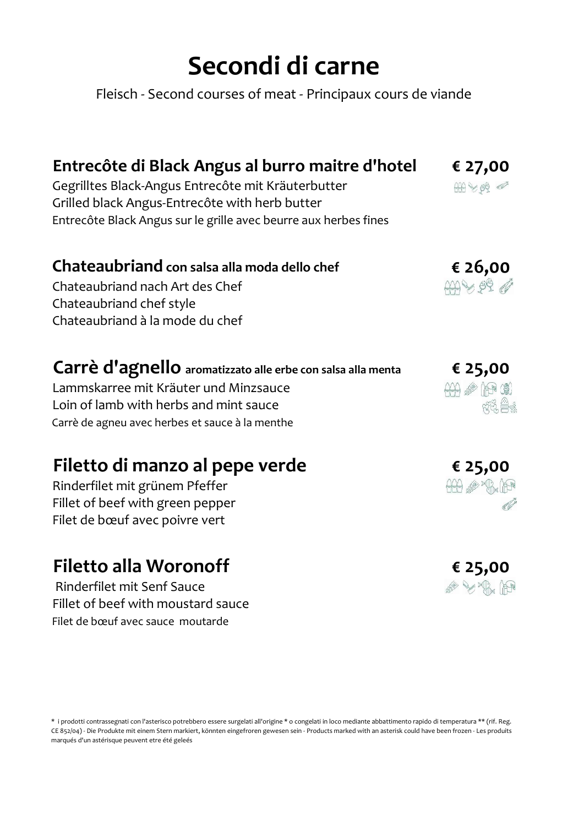# Secondi di carne

Fleisch - Second courses of meat - Principaux cours de viande

| Gegrilltes Black-Angus Entrecôte mit Kräuterbutter               |                    |
|------------------------------------------------------------------|--------------------|
| Grilled black Angus-Entrecôte with herb butter                   |                    |
| Entrecôte Black Angus sur le grille avec beurre aux herbes fines |                    |
| Chateaubriand con salsa alla moda dello chef                     |                    |
| Chateaubriand nach Art des Chef                                  | 626,00             |
| Chateaubriand chef style                                         |                    |
| Chateaubriand à la mode du chef                                  |                    |
| Carrè d'agnello aromatizzato alle erbe con salsa alla menta      | € 25,00            |
| Lammskarree mit Kräuter und Minzsauce                            | $(2)$ $(3)$ $(4)$  |
| Loin of lamb with herbs and mint sauce                           | $\chi^2$ $\approx$ |
| Carrè de agneu avec herbes et sauce à la menthe                  |                    |
| Filetto di manzo al pepe verde                                   | € 25,00            |

#### Filetto di manzo al pepe verde

Rinderfilet mit grünem Pfeffer Fillet of beef with green pepper Filet de bœuf avec poivre vert

## Filetto alla Woronoff

 Rinderfilet mit Senf Sauce Fillet of beef with moustard sauce Filet de bœuf avec sauce moutarde

\* i prodotti contrassegnati con l'asterisco potrebbero essere surgelati all'origine \* o congelati in loco mediante abbattimento rapido di temperatura \*\* (rif. Reg. CE 852/04) - Die Produkte mit einem Stern markiert, könnten eingefroren gewesen sein - Products marked with an asterisk could have been frozen - Les produits marqués d'un astérisque peuvent etre été geleés

€ 25,00

**A YAK PR** 

 $AA$   $\lll$   $\times$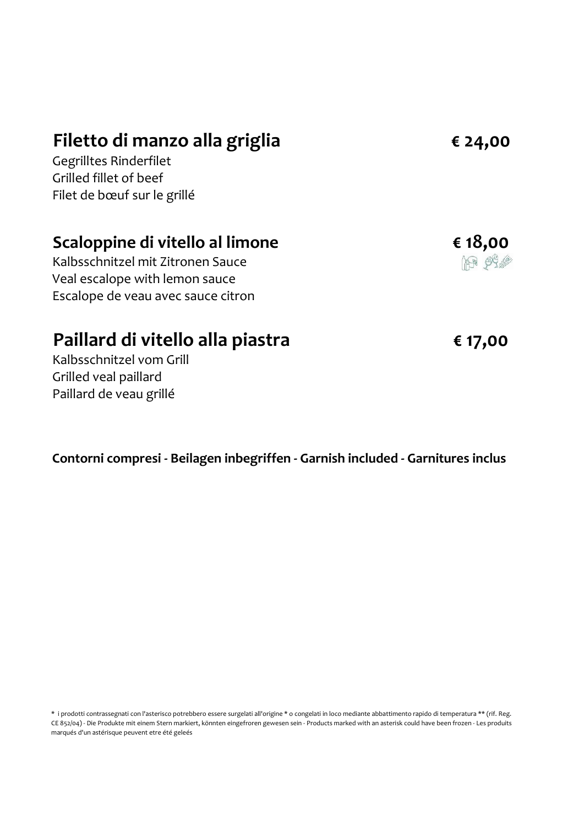#### Filetto di manzo alla griglia

Gegrilltes Rinderfilet Grilled fillet of beef Filet de bœuf sur le grillé

#### Scaloppine di vitello al limone

Kalbsschnitzel mit Zitronen Sauce Veal escalope with lemon sauce Escalope de veau avec sauce citron

#### Paillard di vitello alla piastra

€ 17,00

€ 18,00199 6

Kalbsschnitzel vom Grill Grilled veal paillard Paillard de veau grillé

Contorni compresi - Beilagen inbegriffen - Garnish included - Garnitures inclus

\* i prodotti contrassegnati con l'asterisco potrebbero essere surgelati all'origine \* o congelati in loco mediante abbattimento rapido di temperatura \*\* (rif. Reg. CE 852/04) - Die Produkte mit einem Stern markiert, könnten eingefroren gewesen sein - Products marked with an asterisk could have been frozen - Les produits marqués d'un astérisque peuvent etre été geleés

€ 24,00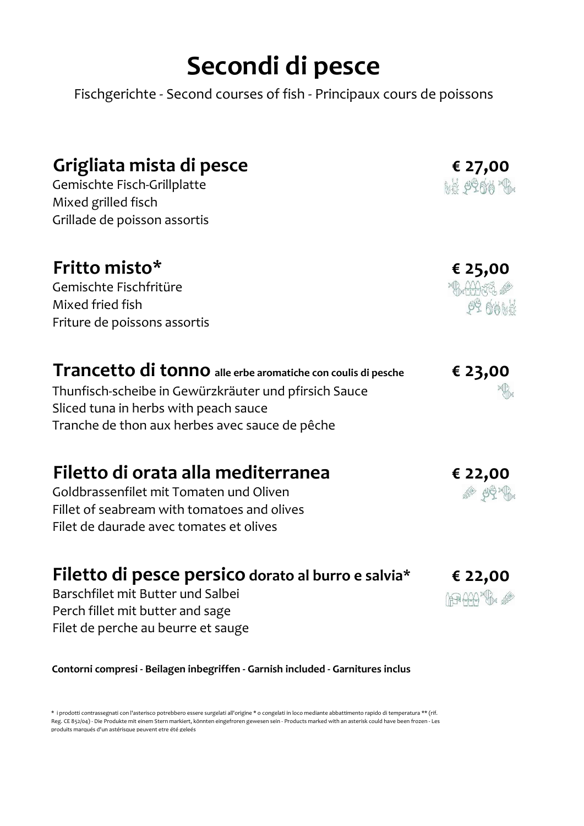# Secondi di pesce

Fischgerichte - Second courses of fish - Principaux cours de poissons

| Grigliata mista di pesce<br>Gemischte Fisch-Grillplatte<br>Mixed grilled fisch                                                                                 | € 27,00<br><b>MA 9900 %</b>            |
|----------------------------------------------------------------------------------------------------------------------------------------------------------------|----------------------------------------|
| Grillade de poisson assortis                                                                                                                                   |                                        |
| Fritto misto*<br>Gemischte Fischfritüre<br>Mixed fried fish<br>Friture de poissons assortis                                                                    | € 25,00<br><b>ALANGE AS</b><br>OC AAMH |
| Trancetto di tonno alle erbe aromatiche con coulis di pesche<br>Thunfisch-scheibe in Gewürzkräuter und pfirsich Sauce<br>Sliced tuna in herbs with peach sauce | € 23,00                                |

Tranche de thon aux herbes avec sauce de pêche

### Filetto di orata alla mediterranea

Goldbrassenfilet mit Tomaten und Oliven Fillet of seabream with tomatoes and olives Filet de daurade avec tomates et olives

### Filetto di pesce persico dorato al burro e salvia\*

Barschfilet mit Butter und Salbei Perch fillet mit butter and sage Filet de perche au beurre et sauge

Contorni compresi - Beilagen inbegriffen - Garnish included - Garnitures inclus

\* i prodotti contrassegnati con l'asterisco potrebbero essere surgelati all'origine \* o congelati in loco mediante abbattimento rapido di temperatura \*\* (rif. Reg. CE 852/04) - Die Produkte mit einem Stern markiert, könnten eingefroren gewesen sein - Products marked with an asterisk could have been frozen - Les produits marqués d'un astérisque peuvent etre été geleés



€ 22,00

80 40 观

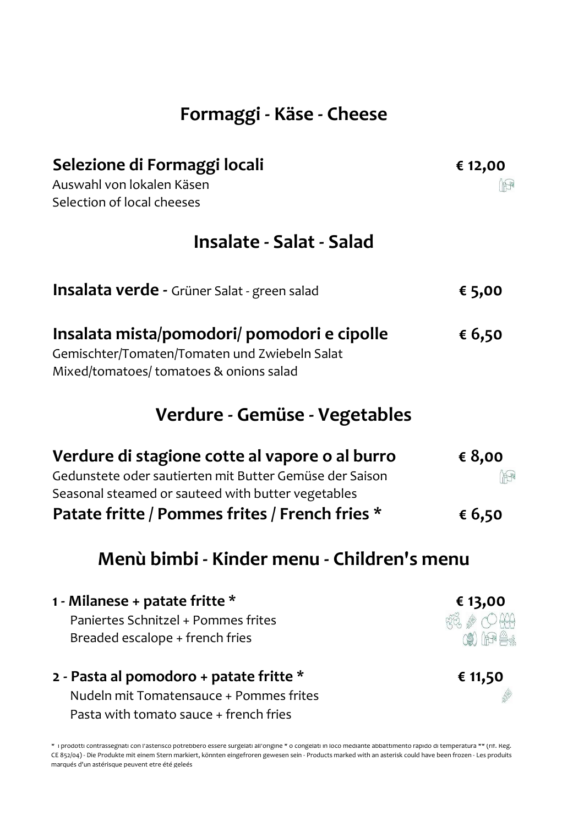### Formaggi - Käse - Cheese

| Selezione di Formaggi locali                                                                                                                                    | € 12,00 |
|-----------------------------------------------------------------------------------------------------------------------------------------------------------------|---------|
| Auswahl von lokalen Käsen                                                                                                                                       | 中       |
| Selection of local cheeses                                                                                                                                      |         |
| Insalate - Salat - Salad                                                                                                                                        |         |
| <b>Insalata verde -</b> Grüner Salat - green salad                                                                                                              | € 5,00  |
| Insalata mista/pomodori/ pomodori e cipolle<br>Gemischter/Tomaten/Tomaten und Zwiebeln Salat<br>Mixed/tomatoes/ tomatoes & onions salad                         | € 6,50  |
| Verdure - Gemüse - Vegetables                                                                                                                                   |         |
| Verdure di stagione cotte al vapore o al burro<br>Gedunstete oder sautierten mit Butter Gemüse der Saison<br>Seasonal steamed or sauteed with butter vegetables | € 8,00  |
| Patate fritte / Pommes frites / French fries *                                                                                                                  | € 6,50  |

#### Menù bimbi - Kinder menu - Children's menu

| 1 - Milanese + patate fritte $*$        | € 13,00                            |
|-----------------------------------------|------------------------------------|
| Paniertes Schnitzel + Pommes frites     | $R2$ $\mathscr{E}$ $\bigcirc$ $AR$ |
| Breaded escalope + french fries         | (\$) ( <del>19</del> 4.            |
| 2 - Pasta al pomodoro + patate fritte * | € 11,50                            |
| Nudeln mit Tomatensauce + Pommes frites |                                    |

\* i prodotti contrassegnati con l'asterisco potrebbero essere surgelati all'origine \* o congelati in loco mediante abbattimento rapido di temperatura \*\* (rif. Reg. CE 852/04) - Die Produkte mit einem Stern markiert, könnten eingefroren gewesen sein - Products marked with an asterisk could have been frozen - Les produits marqués d'un astérisque peuvent etre été geleés

Pasta with tomato sauce + french fries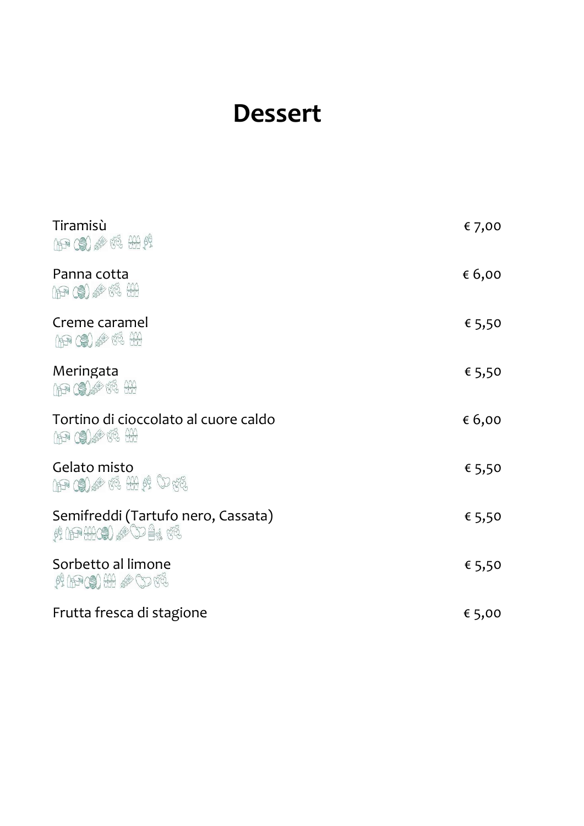## Dessert

| Tiramisù<br>1994 59 2018                               | € 7,00 |
|--------------------------------------------------------|--------|
| Panna cotta                                            | € 6,00 |
| Creme caramel<br>109 09 8 6 6 4 4                      | € 5,50 |
| Meringata<br>A P (2) 6 3 4 4                           | € 5,50 |
| Tortino di cioccolato al cuore caldo                   | € 6,00 |
| Gelato misto<br>AP (S) & F& HA & O R&                  | € 5,50 |
| Semifreddi (Tartufo nero, Cassata)<br>A APHIC & CD 4 3 | € 5,50 |
| Sorbetto al limone<br><b>ALPCO HA &amp; CD 42</b>      | € 5,50 |
| Frutta fresca di stagione                              | € 5,00 |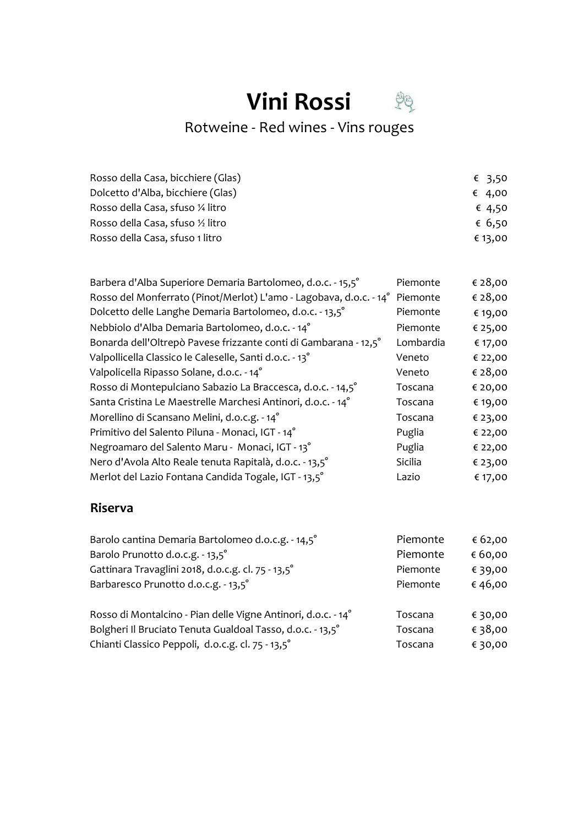# **Vini Rossi**

Rotweine - Red wines - Vins rouges

| Rosso della Casa, bicchiere (Glas) | € 3.50  |
|------------------------------------|---------|
| Dolcetto d'Alba, bicchiere (Glas)  | € 4,00  |
| Rosso della Casa, sfuso ¼ litro    | € 4,50  |
| Rosso della Casa, sfuso 1/2 litro  | € 6,50  |
| Rosso della Casa, sfuso 1 litro    | € 13,00 |

| Barbera d'Alba Superiore Demaria Bartolomeo, d.o.c. - 15,5°        | Piemonte  | € 28,00 |
|--------------------------------------------------------------------|-----------|---------|
| Rosso del Monferrato (Pinot/Merlot) L'amo - Lagobava, d.o.c. - 14° | Piemonte  | € 28,00 |
| Dolcetto delle Langhe Demaria Bartolomeo, d.o.c. - 13,5°           | Piemonte  | € 19,00 |
| Nebbiolo d'Alba Demaria Bartolomeo, d.o.c. - 14°                   | Piemonte  | € 25,00 |
| Bonarda dell'Oltrepò Pavese frizzante conti di Gambarana - 12,5°   | Lombardia | € 17,00 |
| Valpollicella Classico le Caleselle, Santi d.o.c. - 13°            | Veneto    | € 22,00 |
| Valpolicella Ripasso Solane, d.o.c. - 14°                          | Veneto    | € 28,00 |
| Rosso di Montepulciano Sabazio La Braccesca, d.o.c. - 14,5°        | Toscana   | € 20,00 |
| Santa Cristina Le Maestrelle Marchesi Antinori, d.o.c. - 14°       | Toscana   | € 19,00 |
| Morellino di Scansano Melini, d.o.c.g. - 14°                       | Toscana   | € 23,00 |
| Primitivo del Salento Piluna - Monaci, IGT - 14°                   | Puglia    | € 22,00 |
| Negroamaro del Salento Maru - Monaci, IGT - 13°                    | Puglia    | € 22,00 |
| Nero d'Avola Alto Reale tenuta Rapitalà, d.o.c. - 13,5°            | Sicilia   | € 23,00 |
| Merlot del Lazio Fontana Candida Togale, IGT - 13,5°               | Lazio     | € 17,00 |

#### Riserva

| Barolo cantina Demaria Bartolomeo d.o.c.g. - 14,5°            | Piemonte | € 62,00 |
|---------------------------------------------------------------|----------|---------|
| Barolo Prunotto d.o.c.g. - 13,5°                              | Piemonte | € 60,00 |
| Gattinara Travaglini 2018, d.o.c.g. cl. 75 - 13,5°            | Piemonte | € 39,00 |
| Barbaresco Prunotto d.o.c.g. - 13,5°                          | Piemonte | €46,00  |
| Rosso di Montalcino - Pian delle Vigne Antinori, d.o.c. - 14° | Toscana  | € 30,00 |
| Bolgheri Il Bruciato Tenuta Gualdoal Tasso, d.o.c. - 13,5°    | Toscana  | € 38,00 |
| Chianti Classico Peppoli, d.o.c.g. cl. 75 - 13,5°             | Toscana  | € 30,00 |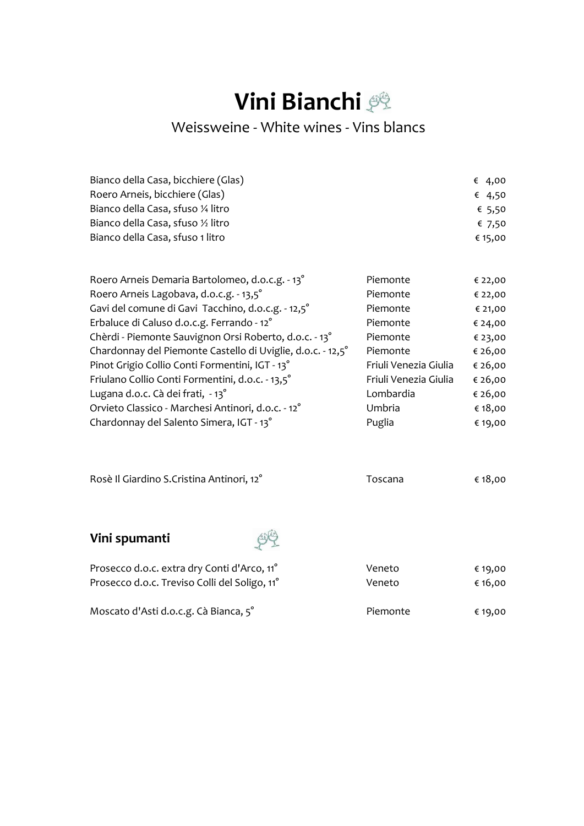## **Vini Bianchi**

#### Weissweine - White wines - Vins blancs

| Bianco della Casa, bicchiere (Glas) | € 4,00  |
|-------------------------------------|---------|
| Roero Arneis, bicchiere (Glas)      | € 4,50  |
| Bianco della Casa, sfuso ¼ litro    | € 5,50  |
| Bianco della Casa, sfuso 1/2 litro  | € 7,50  |
| Bianco della Casa, sfuso 1 litro    | € 15,00 |

| Roero Arneis Demaria Bartolomeo, d.o.c.g. - 13°             | Piemonte              | € 22,00 |
|-------------------------------------------------------------|-----------------------|---------|
| Roero Arneis Lagobava, d.o.c.g. - 13,5°                     | Piemonte              | € 22,00 |
| Gavi del comune di Gavi Tacchino, d.o.c.g. - 12,5°          | Piemonte              | € 21,00 |
| Erbaluce di Caluso d.o.c.g. Ferrando - 12°                  | Piemonte              | € 24,00 |
| Chèrdi - Piemonte Sauvignon Orsi Roberto, d.o.c. - 13°      | Piemonte              | € 23,00 |
| Chardonnay del Piemonte Castello di Uviglie, d.o.c. - 12,5° | Piemonte              | € 26,00 |
| Pinot Grigio Collio Conti Formentini, IGT - 13°             | Friuli Venezia Giulia | € 26,00 |
| Friulano Collio Conti Formentini, d.o.c. - 13,5°            | Friuli Venezia Giulia | € 26,00 |
| Lugana d.o.c. Cà dei frati, - 13°                           | Lombardia             | € 26,00 |
| Orvieto Classico - Marchesi Antinori, d.o.c. - 12°          | Umbria                | € 18,00 |
| Chardonnay del Salento Simera, IGT - 13°                    | Puglia                | € 19,00 |
|                                                             |                       |         |

| Rosè Il Giardino S.Cristina Antinori, 12° | Toscana | € 18,00 |
|-------------------------------------------|---------|---------|
|                                           |         |         |
| Vini spumanti                             |         |         |

| Prosecco d.o.c. extra dry Conti d'Arco, 11°               | Veneto   | € 19,00 |
|-----------------------------------------------------------|----------|---------|
| Prosecco d.o.c. Treviso Colli del Soligo, 11 <sup>°</sup> | Veneto   | € 16.00 |
| Moscato d'Asti d.o.c.g. Cà Bianca, 5°                     | Piemonte | € 19,00 |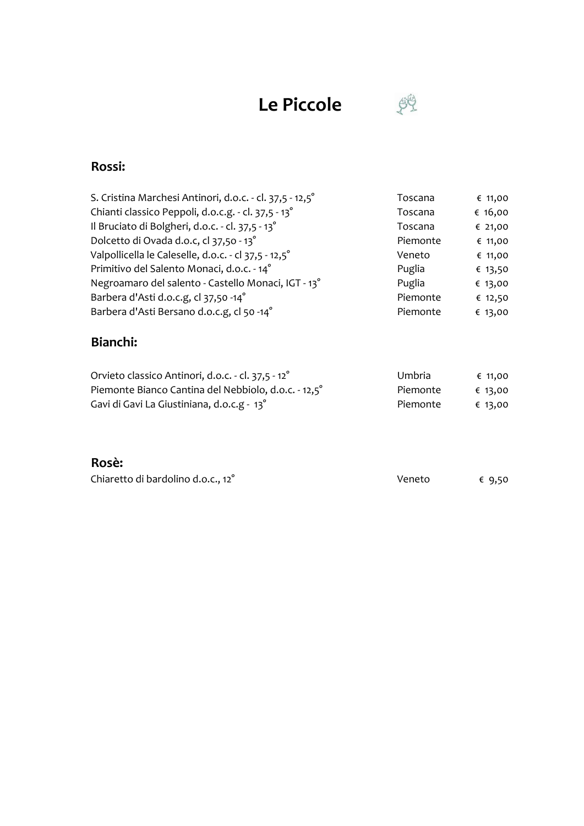## Le Piccole



#### Rossi:

| S. Cristina Marchesi Antinori, d.o.c. - cl. 37,5 - 12,5° | Toscana  | € 11,00   |
|----------------------------------------------------------|----------|-----------|
| Chianti classico Peppoli, d.o.c.g. - cl. 37,5 - 13°      | Toscana  | € $16,00$ |
| Il Bruciato di Bolgheri, d.o.c. - cl. 37,5 - 13°         | Toscana  | € 21,00   |
| Dolcetto di Ovada d.o.c, cl 37,50 - 13°                  | Piemonte | € 11,00   |
| Valpollicella le Caleselle, d.o.c. - cl 37,5 - 12,5°     | Veneto   | € 11,00   |
| Primitivo del Salento Monaci, d.o.c. - 14°               | Puglia   | € 13,50   |
| Negroamaro del salento - Castello Monaci, IGT - 13°      | Puglia   | € 13,00   |
| Barbera d'Asti d.o.c.g, cl 37,50 -14°                    | Piemonte | € 12,50   |
| Barbera d'Asti Bersano d.o.c.g, cl 50 -14°               | Piemonte | € 13,00   |

#### Bianchi:

| Orvieto classico Antinori, d.o.c. - cl. 37,5 - 12 <sup>°</sup> | Umbria   | € 11,00 |
|----------------------------------------------------------------|----------|---------|
| Piemonte Bianco Cantina del Nebbiolo, d.o.c. - 12,5°           | Piemonte | € 13.00 |
| Gavi di Gavi La Giustiniana, d.o.c.g - 13 <sup>°</sup>         | Piemonte | € 13,00 |

#### Rosè:

| Chiaretto di bardolino d.o.c., 12° | Veneto | € 9,50 |
|------------------------------------|--------|--------|
|------------------------------------|--------|--------|